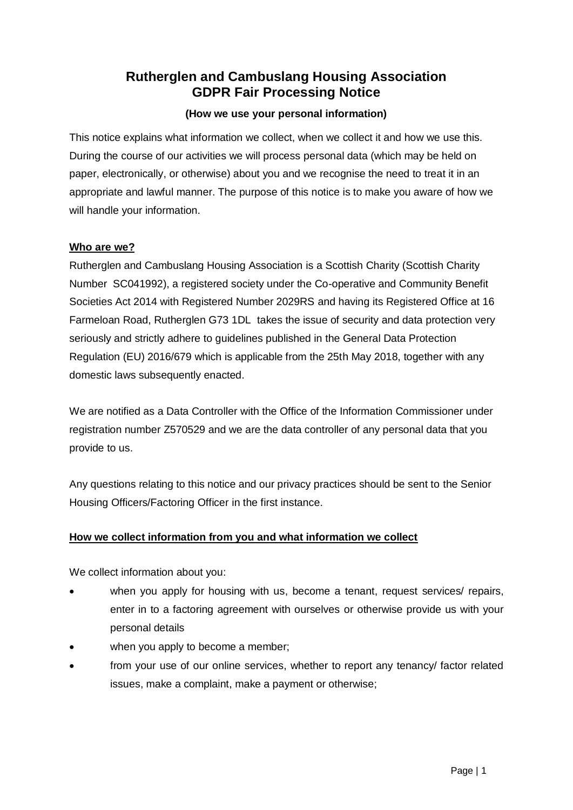# **Rutherglen and Cambuslang Housing Association GDPR Fair Processing Notice**

#### **(How we use your personal information)**

This notice explains what information we collect, when we collect it and how we use this. During the course of our activities we will process personal data (which may be held on paper, electronically, or otherwise) about you and we recognise the need to treat it in an appropriate and lawful manner. The purpose of this notice is to make you aware of how we will handle your information.

#### **Who are we?**

Rutherglen and Cambuslang Housing Association is a Scottish Charity (Scottish Charity Number SC041992), a registered society under the Co-operative and Community Benefit Societies Act 2014 with Registered Number 2029RS and having its Registered Office at 16 Farmeloan Road, Rutherglen G73 1DL takes the issue of security and data protection very seriously and strictly adhere to guidelines published in the General Data Protection Regulation (EU) 2016/679 which is applicable from the 25th May 2018, together with any domestic laws subsequently enacted.

We are notified as a Data Controller with the Office of the Information Commissioner under registration number Z570529 and we are the data controller of any personal data that you provide to us.

Any questions relating to this notice and our privacy practices should be sent to the Senior Housing Officers/Factoring Officer in the first instance.

### **How we collect information from you and what information we collect**

We collect information about you:

- when you apply for housing with us, become a tenant, request services/ repairs, enter in to a factoring agreement with ourselves or otherwise provide us with your personal details
- when you apply to become a member;
- from your use of our online services, whether to report any tenancy/ factor related issues, make a complaint, make a payment or otherwise;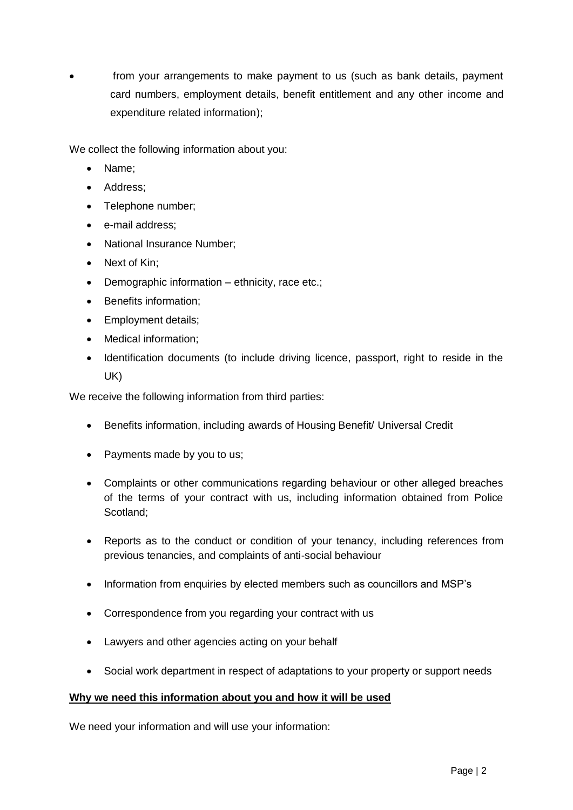from your arrangements to make payment to us (such as bank details, payment card numbers, employment details, benefit entitlement and any other income and expenditure related information);

We collect the following information about you:

- Name:
- Address:
- Telephone number;
- e-mail address;
- National Insurance Number;
- Next of Kin;
- Demographic information ethnicity, race etc.;
- Benefits information:
- Employment details;
- Medical information;
- Identification documents (to include driving licence, passport, right to reside in the UK)

We receive the following information from third parties:

- Benefits information, including awards of Housing Benefit/ Universal Credit
- Payments made by you to us;
- Complaints or other communications regarding behaviour or other alleged breaches of the terms of your contract with us, including information obtained from Police Scotland;
- Reports as to the conduct or condition of your tenancy, including references from previous tenancies, and complaints of anti-social behaviour
- Information from enquiries by elected members such as councillors and MSP's
- Correspondence from you regarding your contract with us
- Lawyers and other agencies acting on your behalf
- Social work department in respect of adaptations to your property or support needs

#### **Why we need this information about you and how it will be used**

We need your information and will use your information: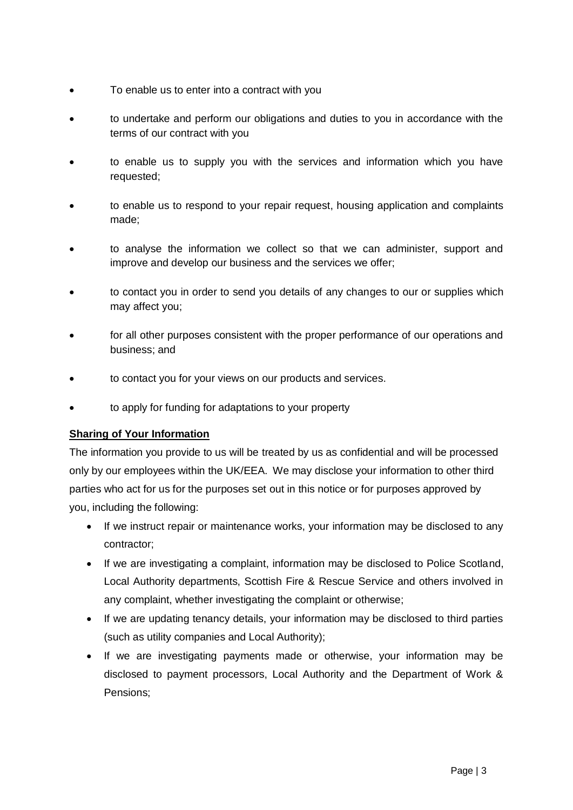- To enable us to enter into a contract with you
- to undertake and perform our obligations and duties to you in accordance with the terms of our contract with you
- to enable us to supply you with the services and information which you have requested;
- to enable us to respond to your repair request, housing application and complaints made;
- to analyse the information we collect so that we can administer, support and improve and develop our business and the services we offer;
- to contact you in order to send you details of any changes to our or supplies which may affect you;
- for all other purposes consistent with the proper performance of our operations and business; and
- to contact you for your views on our products and services.
- to apply for funding for adaptations to your property

### **Sharing of Your Information**

The information you provide to us will be treated by us as confidential and will be processed only by our employees within the UK/EEA. We may disclose your information to other third parties who act for us for the purposes set out in this notice or for purposes approved by you, including the following:

- If we instruct repair or maintenance works, your information may be disclosed to any contractor;
- If we are investigating a complaint, information may be disclosed to Police Scotland, Local Authority departments, Scottish Fire & Rescue Service and others involved in any complaint, whether investigating the complaint or otherwise;
- If we are updating tenancy details, your information may be disclosed to third parties (such as utility companies and Local Authority);
- If we are investigating payments made or otherwise, your information may be disclosed to payment processors, Local Authority and the Department of Work & Pensions;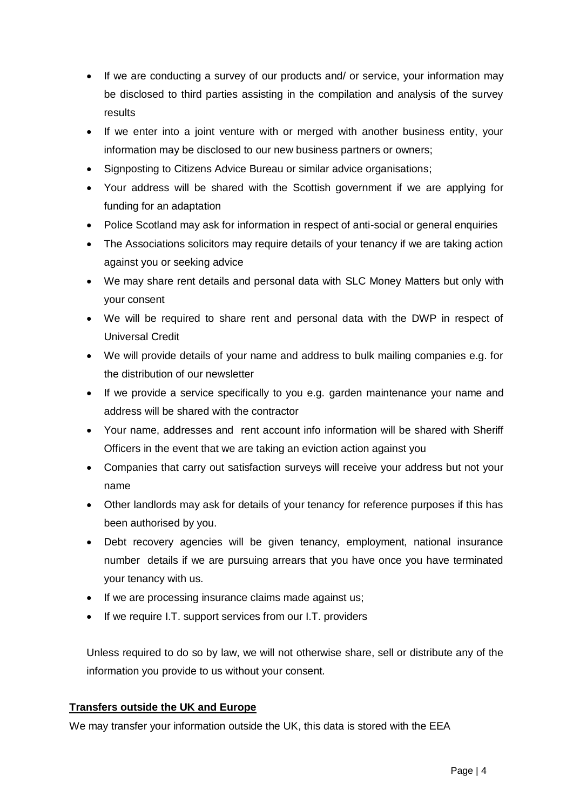- If we are conducting a survey of our products and/ or service, your information may be disclosed to third parties assisting in the compilation and analysis of the survey results
- If we enter into a joint venture with or merged with another business entity, your information may be disclosed to our new business partners or owners;
- Signposting to Citizens Advice Bureau or similar advice organisations;
- Your address will be shared with the Scottish government if we are applying for funding for an adaptation
- Police Scotland may ask for information in respect of anti-social or general enquiries
- The Associations solicitors may require details of your tenancy if we are taking action against you or seeking advice
- We may share rent details and personal data with SLC Money Matters but only with your consent
- We will be required to share rent and personal data with the DWP in respect of Universal Credit
- We will provide details of your name and address to bulk mailing companies e.g. for the distribution of our newsletter
- If we provide a service specifically to you e.g. garden maintenance your name and address will be shared with the contractor
- Your name, addresses and rent account info information will be shared with Sheriff Officers in the event that we are taking an eviction action against you
- Companies that carry out satisfaction surveys will receive your address but not your name
- Other landlords may ask for details of your tenancy for reference purposes if this has been authorised by you.
- Debt recovery agencies will be given tenancy, employment, national insurance number details if we are pursuing arrears that you have once you have terminated your tenancy with us.
- If we are processing insurance claims made against us;
- If we require I.T. support services from our I.T. providers

Unless required to do so by law, we will not otherwise share, sell or distribute any of the information you provide to us without your consent.

### **Transfers outside the UK and Europe**

We may transfer your information outside the UK, this data is stored with the EEA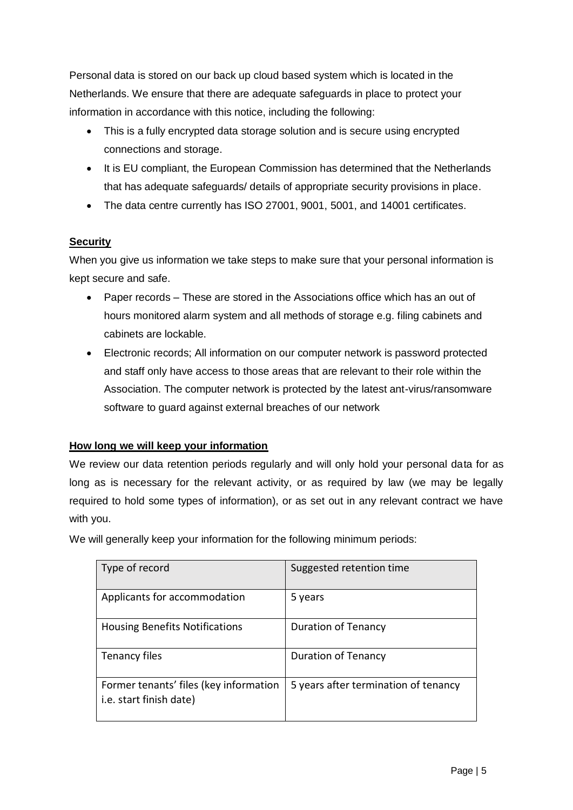Personal data is stored on our back up cloud based system which is located in the Netherlands. We ensure that there are adequate safeguards in place to protect your information in accordance with this notice, including the following:

- This is a fully encrypted data storage solution and is secure using encrypted connections and storage.
- It is EU compliant, the European Commission has determined that the Netherlands that has adequate safeguards/ details of appropriate security provisions in place.
- The data centre currently has ISO 27001, 9001, 5001, and 14001 certificates.

# **Security**

When you give us information we take steps to make sure that your personal information is kept secure and safe.

- Paper records These are stored in the Associations office which has an out of hours monitored alarm system and all methods of storage e.g. filing cabinets and cabinets are lockable.
- Electronic records; All information on our computer network is password protected and staff only have access to those areas that are relevant to their role within the Association. The computer network is protected by the latest ant-virus/ransomware software to guard against external breaches of our network

# **How long we will keep your information**

We review our data retention periods regularly and will only hold your personal data for as long as is necessary for the relevant activity, or as required by law (we may be legally required to hold some types of information), or as set out in any relevant contract we have with you.

We will generally keep your information for the following minimum periods:

| Type of record                                                    | Suggested retention time             |
|-------------------------------------------------------------------|--------------------------------------|
| Applicants for accommodation                                      | 5 years                              |
| <b>Housing Benefits Notifications</b>                             | <b>Duration of Tenancy</b>           |
| Tenancy files                                                     | <b>Duration of Tenancy</b>           |
| Former tenants' files (key information<br>i.e. start finish date) | 5 years after termination of tenancy |